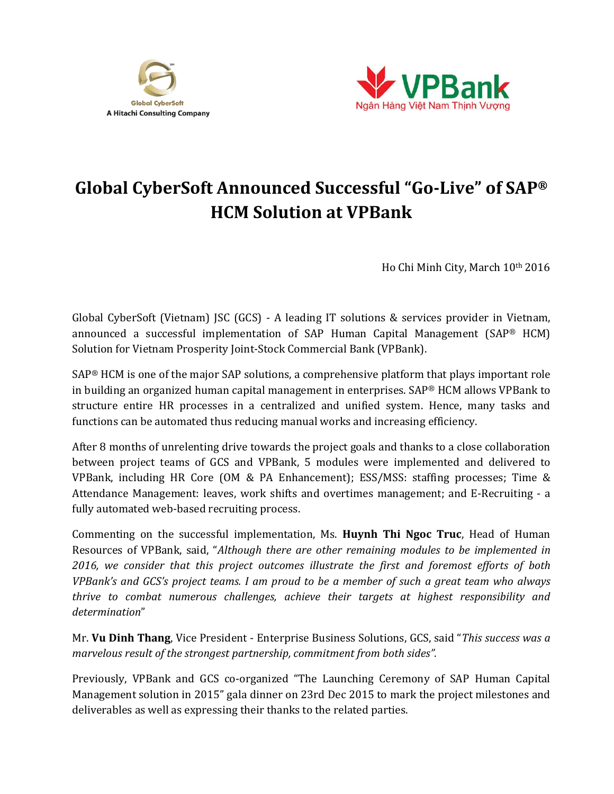



## **Global CyberSoft Announced Successful "Go-Live" of SAP® HCM Solution at VPBank**

Ho Chi Minh City, March 10th 2016

Global CyberSoft (Vietnam) JSC (GCS) - A leading IT solutions & services provider in Vietnam, announced a successful implementation of SAP Human Capital Management (SAP® HCM) Solution for Vietnam Prosperity Joint-Stock Commercial Bank (VPBank).

SAP® HCM is one of the major SAP solutions, a comprehensive platform that plays important role in building an organized human capital management in enterprises. SAP® HCM allows VPBank to structure entire HR processes in a centralized and unified system. Hence, many tasks and functions can be automated thus reducing manual works and increasing efficiency.

After 8 months of unrelenting drive towards the project goals and thanks to a close collaboration between project teams of GCS and VPBank, 5 modules were implemented and delivered to VPBank, including HR Core (OM & PA Enhancement); ESS/MSS: staffing processes; Time & Attendance Management: leaves, work shifts and overtimes management; and E-Recruiting - a fully automated web-based recruiting process.

Commenting on the successful implementation, Ms. **Huynh Thi Ngoc Truc**, Head of Human Resources of VPBank, said, "*Although there are other remaining modules to be implemented in 2016, we consider that this project outcomes illustrate the first and foremost efforts of both VPBank's and GCS's project teams. I am proud to be a member of such a great team who always thrive to combat numerous challenges, achieve their targets at highest responsibility and determination*"

Mr. **Vu Dinh Thang**, Vice President - Enterprise Business Solutions, GCS, said "*This success was a marvelous result of the strongest partnership, commitment from both sides".*

Previously, VPBank and GCS co-organized "The Launching Ceremony of SAP Human Capital Management solution in 2015" gala dinner on 23rd Dec 2015 to mark the project milestones and deliverables as well as expressing their thanks to the related parties.